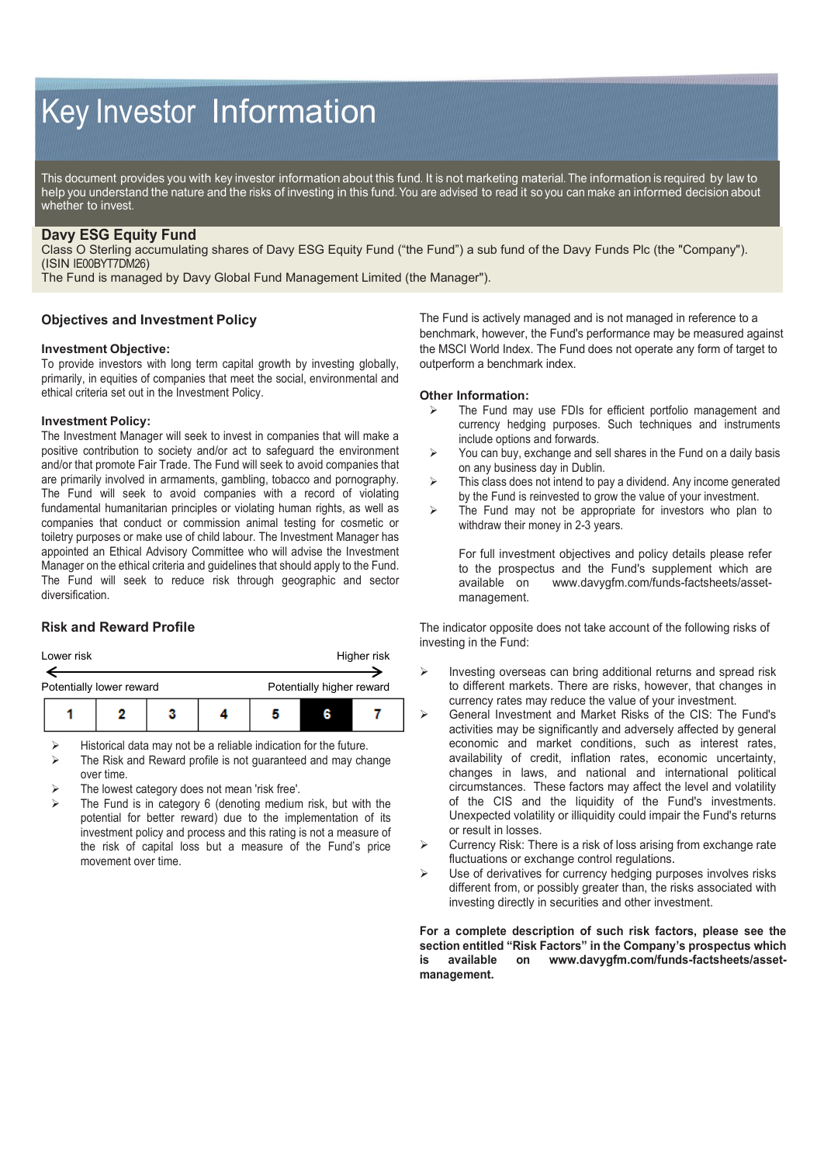# Key Investor Information

This document provides you with key investor information about this fund. It is not marketing material. The information is required by law to help you understand the nature and the risks of investing in this fund. You are advised to read it so you can make an informed decision about whether to invest.

# **Davy ESG Equity Fund**

Class O Sterling accumulating shares of Davy ESG Equity Fund ("the Fund") a sub fund of the Davy Funds Plc (the "Company"). (ISIN IE00BYT7DM26)

The Fund is managed by Davy Global Fund Management Limited (the Manager").

## **Objectives and Investment Policy**

#### **Investment Objective:**

To provide investors with long term capital growth by investing globally, primarily, in equities of companies that meet the social, environmental and ethical criteria set out in the Investment Policy.

#### **Investment Policy:**

The Investment Manager will seek to invest in companies that will make a positive contribution to society and/or act to safeguard the environment and/or that promote Fair Trade. The Fund will seek to avoid companies that are primarily involved in armaments, gambling, tobacco and pornography. The Fund will seek to avoid companies with a record of violating fundamental humanitarian principles or violating human rights, as well as companies that conduct or commission animal testing for cosmetic or toiletry purposes or make use of child labour. The Investment Manager has appointed an Ethical Advisory Committee who will advise the Investment Manager on the ethical criteria and guidelines that should apply to the Fund. The Fund will seek to reduce risk through geographic and sector diversification.

#### **Risk and Reward Profile**

| Lower risk               |  |  | Higher risk |                           |  |  |
|--------------------------|--|--|-------------|---------------------------|--|--|
| Potentially lower reward |  |  |             | Potentially higher reward |  |  |
|                          |  |  |             | Ð                         |  |  |

 $\triangleright$  Historical data may not be a reliable indication for the future.

- $\triangleright$  The Risk and Reward profile is not guaranteed and may change over time.
- The lowest category does not mean 'risk free'.
- The Fund is in category 6 (denoting medium risk, but with the potential for better reward) due to the implementation of its investment policy and process and this rating is not a measure of the risk of capital loss but a measure of the Fund's price movement over time.

The Fund is actively managed and is not managed in reference to a benchmark, however, the Fund's performance may be measured against the MSCI World Index. The Fund does not operate any form of target to outperform a benchmark index.

#### **Other Information:**

- $\triangleright$  The Fund may use FDIs for efficient portfolio management and currency hedging purposes. Such techniques and instruments include options and forwards.
- $\triangleright$  You can buy, exchange and sell shares in the Fund on a daily basis on any business day in Dublin.
- $\triangleright$  This class does not intend to pay a dividend. Any income generated by the Fund is reinvested to grow the value of your investment.
- $\triangleright$  The Fund may not be appropriate for investors who plan to withdraw their money in 2-3 years.

For full investment objectives and policy details please refer to the prospectus and the Fund's supplement which are available on www.davygfm.com/funds-factsheets/assetmanagement.

The indicator opposite does not take account of the following risks of investing in the Fund:

- Investing overseas can bring additional returns and spread risk to different markets. There are risks, however, that changes in currency rates may reduce the value of your investment.
- General Investment and Market Risks of the CIS: The Fund's activities may be significantly and adversely affected by general economic and market conditions, such as interest rates, availability of credit, inflation rates, economic uncertainty, changes in laws, and national and international political circumstances. These factors may affect the level and volatility of the CIS and the liquidity of the Fund's investments. Unexpected volatility or illiquidity could impair the Fund's returns or result in losses.
- Currency Risk: There is a risk of loss arising from exchange rate fluctuations or exchange control regulations.
- Use of derivatives for currency hedging purposes involves risks different from, or possibly greater than, the risks associated with investing directly in securities and other investment.

**For a complete description of such risk factors, please see the section entitled "Risk Factors" in the Company's prospectus which is available on www.davygfm.com/funds-factsheets/assetmanagement.**